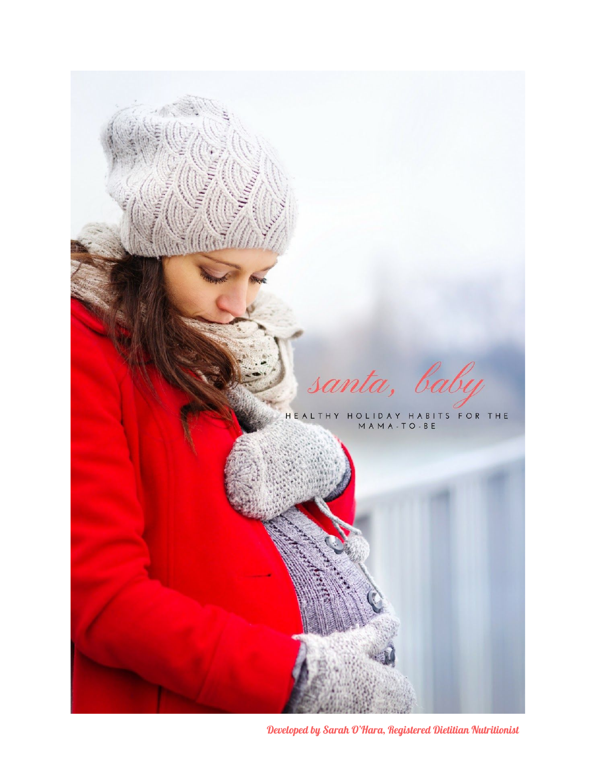

Developed by Sarah O'Hara, Registered Dietitian Nutritionist